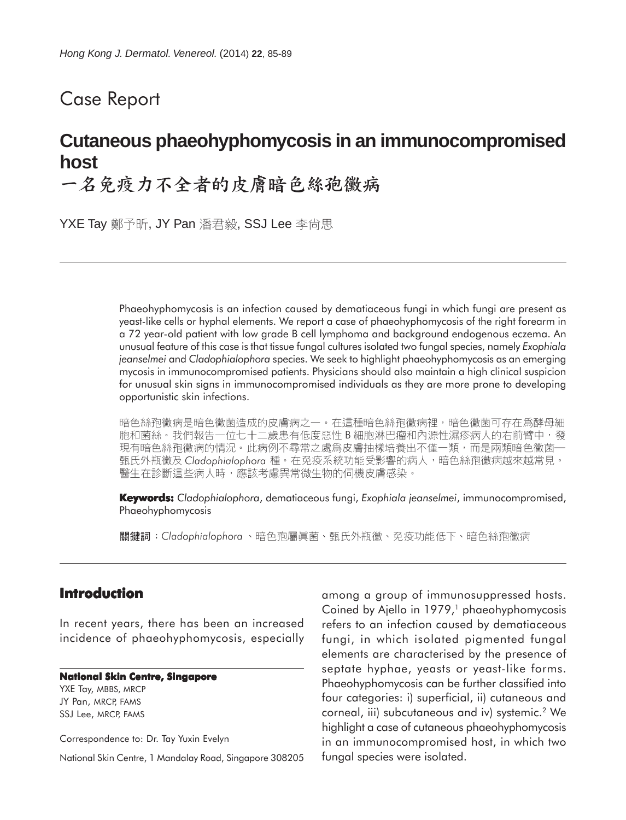# Case Report

# **Cutaneous phaeohyphomycosis in an immunocompromised host**

一名免疫力不全者的皮膚暗色絲孢黴病

YXE Tay 鄭予昕, JY Pan 潘君毅, SSJ Lee 李尚思

Phaeohyphomycosis is an infection caused by dematiaceous fungi in which fungi are present as yeast-like cells or hyphal elements. We report a case of phaeohyphomycosis of the right forearm in a 72 year-old patient with low grade B cell lymphoma and background endogenous eczema. An unusual feature of this case is that tissue fungal cultures isolated two fungal species, namely *Exophiala jeanselmei* and *Cladophialophora* species. We seek to highlight phaeohyphomycosis as an emerging mycosis in immunocompromised patients. Physicians should also maintain a high clinical suspicion for unusual skin signs in immunocompromised individuals as they are more prone to developing opportunistic skin infections.

暗色絲孢黴病是暗色黴菌造成的皮膚病之一。在這種暗色絲孢黴病裡,暗色黴菌可存在爲酵母細 胞和菌絲。我們報告一位七十二歲患有低度惡性 B 細胞淋巴瘤和內源性濕疹病人的右前臂中,發<br>現有暗色絲孢黴病的情況。此病例不尋常之處爲皮膚抽樣培養出不僅一類,而是兩類暗色黴菌— 甄氏外瓶黴及 Cladophialophora 種。在免疫系統功能受影響的病人,暗色絲孢黴病越來越常見。 醫生在診斷這些病人時,應該考慮異常微生物的伺機皮膚感染。

**Keywords:** *Cladophialophora*, dematiaceous fungi, *Exophiala jeanselmei*, immunocompromised, Phaeohyphomycosis

**關鍵詞:Cladophialophora**、暗色孢屬眞菌、甄氏外瓶黴、免疫功能低下、暗色絲孢黴病

### **Introduction**

In recent years, there has been an increased incidence of phaeohyphomycosis, especially

#### **National Skin Centre, Singapore**

YXE Tay, MBBS, MRCP JY Pan, MRCP, FAMS SSJ Lee, MRCP, FAMS

Correspondence to: Dr. Tay Yuxin Evelyn

National Skin Centre, 1 Mandalay Road, Singapore 308205

among a group of immunosuppressed hosts. Coined by Ajello in 1979,<sup>1</sup> phaeohyphomycosis refers to an infection caused by dematiaceous fungi, in which isolated pigmented fungal elements are characterised by the presence of septate hyphae, yeasts or yeast-like forms. Phaeohyphomycosis can be further classified into four categories: i) superficial, ii) cutaneous and corneal, iii) subcutaneous and iv) systemic.<sup>2</sup> We highlight a case of cutaneous phaeohyphomycosis in an immunocompromised host, in which two fungal species were isolated.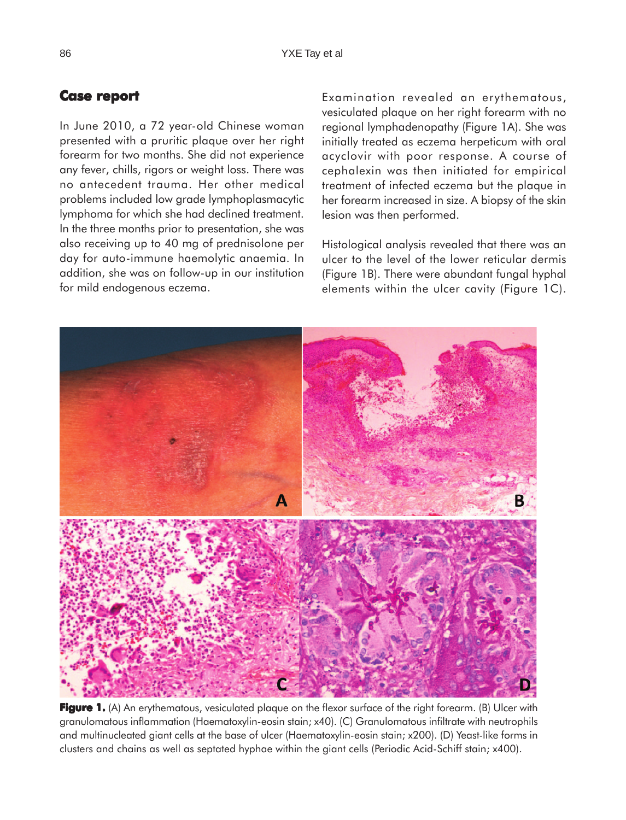## **Case report report**

In June 2010, a 72 year-old Chinese woman presented with a pruritic plaque over her right forearm for two months. She did not experience any fever, chills, rigors or weight loss. There was no antecedent trauma. Her other medical problems included low grade lymphoplasmacytic lymphoma for which she had declined treatment. In the three months prior to presentation, she was also receiving up to 40 mg of prednisolone per day for auto-immune haemolytic anaemia. In addition, she was on follow-up in our institution for mild endogenous eczema.

Examination revealed an erythematous, vesiculated plaque on her right forearm with no regional lymphadenopathy (Figure 1A). She was initially treated as eczema herpeticum with oral acyclovir with poor response. A course of cephalexin was then initiated for empirical treatment of infected eczema but the plaque in her forearm increased in size. A biopsy of the skin lesion was then performed.

Histological analysis revealed that there was an ulcer to the level of the lower reticular dermis (Figure 1B). There were abundant fungal hyphal elements within the ulcer cavity (Figure 1C).



**Figure 1.** (A) An erythematous, vesiculated plaque on the flexor surface of the right forearm. (B) Ulcer with granulomatous inflammation (Haematoxylin-eosin stain; x40). (C) Granulomatous infiltrate with neutrophils and multinucleated giant cells at the base of ulcer (Haematoxylin-eosin stain; x200). (D) Yeast-like forms in clusters and chains as well as septated hyphae within the giant cells (Periodic Acid-Schiff stain; x400).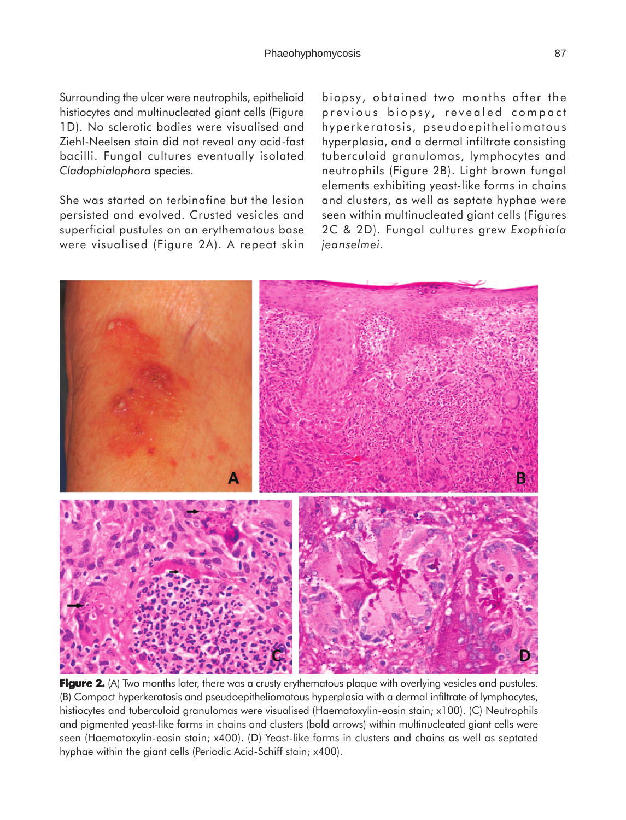Surrounding the ulcer were neutrophils, epithelioid histiocytes and multinucleated giant cells (Figure 1D). No sclerotic bodies were visualised and Ziehl-Neelsen stain did not reveal any acid-fast bacilli. Fungal cultures eventually isolated *Cladophialophora* species.

She was started on terbinafine but the lesion persisted and evolved. Crusted vesicles and superficial pustules on an erythematous base were visualised (Figure 2A). A repeat skin biopsy, obtained two months after the previous biopsy, revealed compact hyperkeratosis, pseudoepitheliomatous hyperplasia, and a dermal infiltrate consisting tuberculoid granulomas, lymphocytes and neutrophils (Figure 2B). Light brown fungal elements exhibiting yeast-like forms in chains and clusters, as well as septate hyphae were seen within multinucleated giant cells (Figures 2C & 2D). Fungal cultures grew *Exophiala jeanselmei.*



**Figure 2.** (A) Two months later, there was a crusty erythematous plaque with overlying vesicles and pustules. (B) Compact hyperkeratosis and pseudoepitheliomatous hyperplasia with a dermal infiltrate of lymphocytes, histiocytes and tuberculoid granulomas were visualised (Haematoxylin-eosin stain; x100). (C) Neutrophils and pigmented yeast-like forms in chains and clusters (bold arrows) within multinucleated giant cells were seen (Haematoxylin-eosin stain; x400). (D) Yeast-like forms in clusters and chains as well as septated hyphae within the giant cells (Periodic Acid-Schiff stain; x400).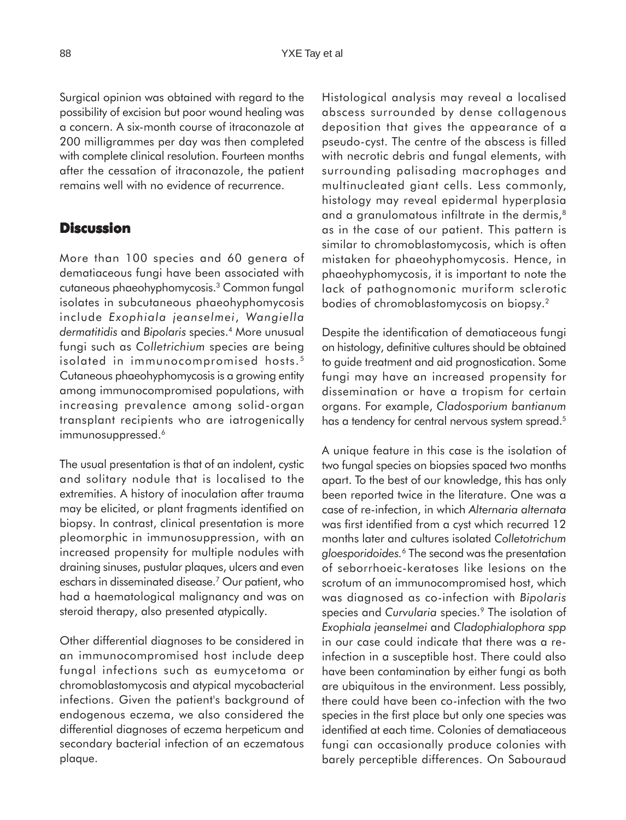Surgical opinion was obtained with regard to the possibility of excision but poor wound healing was a concern. A six-month course of itraconazole at 200 milligrammes per day was then completed with complete clinical resolution. Fourteen months after the cessation of itraconazole, the patient remains well with no evidence of recurrence.

#### **Discussion**

More than 100 species and 60 genera of dematiaceous fungi have been associated with cutaneous phaeohyphomycosis.3 Common fungal isolates in subcutaneous phaeohyphomycosis include *Exophiala jeanselmei*, *Wangiella dermatitidis* and *Bipolaris* species.4 More unusual fungi such as *Colletrichium* species are being isolated in immunocompromised hosts.<sup>5</sup> Cutaneous phaeohyphomycosis is a growing entity among immunocompromised populations, with increasing prevalence among solid-organ transplant recipients who are iatrogenically immunosuppressed.<sup>6</sup>

The usual presentation is that of an indolent, cystic and solitary nodule that is localised to the extremities. A history of inoculation after trauma may be elicited, or plant fragments identified on biopsy. In contrast, clinical presentation is more pleomorphic in immunosuppression, with an increased propensity for multiple nodules with draining sinuses, pustular plaques, ulcers and even eschars in disseminated disease.7 Our patient, who had a haematological malignancy and was on steroid therapy, also presented atypically.

Other differential diagnoses to be considered in an immunocompromised host include deep fungal infections such as eumycetoma or chromoblastomycosis and atypical mycobacterial infections. Given the patient's background of endogenous eczema, we also considered the differential diagnoses of eczema herpeticum and secondary bacterial infection of an eczematous plaque.

Histological analysis may reveal a localised abscess surrounded by dense collagenous deposition that gives the appearance of a pseudo-cyst. The centre of the abscess is filled with necrotic debris and fungal elements, with surrounding palisading macrophages and multinucleated giant cells. Less commonly, histology may reveal epidermal hyperplasia and a granulomatous infiltrate in the dermis,<sup>8</sup> as in the case of our patient. This pattern is similar to chromoblastomycosis, which is often mistaken for phaeohyphomycosis. Hence, in phaeohyphomycosis, it is important to note the lack of pathognomonic muriform sclerotic bodies of chromoblastomycosis on biopsy.2

Despite the identification of dematiaceous fungi on histology, definitive cultures should be obtained to guide treatment and aid prognostication. Some fungi may have an increased propensity for dissemination or have a tropism for certain organs. For example, *Cladosporium bantianum* has a tendency for central nervous system spread.<sup>5</sup>

A unique feature in this case is the isolation of two fungal species on biopsies spaced two months apart. To the best of our knowledge, this has only been reported twice in the literature. One was a case of re-infection, in which *Alternaria alternata* was first identified from a cyst which recurred 12 months later and cultures isolated *Colletotrichum gloesporidoides.*6 The second was the presentation of seborrhoeic-keratoses like lesions on the scrotum of an immunocompromised host, which was diagnosed as co-infection with *Bipolaris* species and *Curvularia* species.9 The isolation of *Exophiala jeanselmei* and *Cladophialophora spp* in our case could indicate that there was a reinfection in a susceptible host. There could also have been contamination by either fungi as both are ubiquitous in the environment. Less possibly, there could have been co-infection with the two species in the first place but only one species was identified at each time. Colonies of dematiaceous fungi can occasionally produce colonies with barely perceptible differences. On Sabouraud